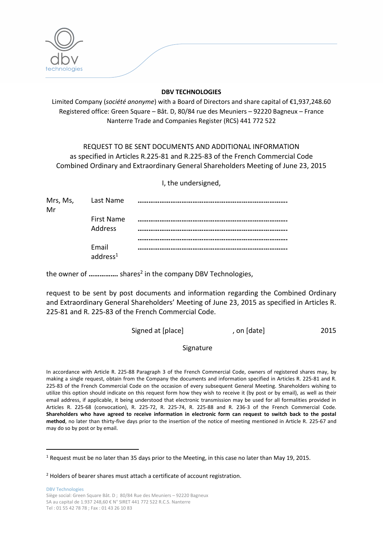

## **DBV TECHNOLOGIES**

Limited Company (*société anonyme*) with a Board of Directors and share capital of €1,937,248.60 Registered office: Green Square – Bât. D, 80/84 rue des Meuniers – 92220 Bagneux – France Nanterre Trade and Companies Register (RCS) 441 772 522

REQUEST TO BE SENT DOCUMENTS AND ADDITIONAL INFORMATION as specified in Articles R.225-81 and R.225-83 of the French Commercial Code Combined Ordinary and Extraordinary General Shareholders Meeting of June 23, 2015

I, the undersigned,

|    | Mrs, Ms, Last Name            |  |
|----|-------------------------------|--|
| Mr |                               |  |
|    | First Name<br><b>Address</b>  |  |
|    |                               |  |
|    |                               |  |
|    | Email<br>address <sup>1</sup> |  |

the owner of ................ shares<sup>2</sup> in the company DBV Technologies,

request to be sent by post documents and information regarding the Combined Ordinary and Extraordinary General Shareholders' Meeting of June 23, 2015 as specified in Articles R. 225-81 and R. 225-83 of the French Commercial Code.

| Signed at [place] | , on [date] | 2015 |
|-------------------|-------------|------|
|-------------------|-------------|------|

Signature

In accordance with Article R. 225-88 Paragraph 3 of the French Commercial Code, owners of registered shares may, by making a single request, obtain from the Company the documents and information specified in Articles R. 225-81 and R. 225-83 of the French Commercial Code on the occasion of every subsequent General Meeting. Shareholders wishing to utilize this option should indicate on this request form how they wish to receive it (by post or by email), as well as their email address, if applicable, it being understood that electronic transmission may be used for all formalities provided in Articles R. 225-68 (convocation), R. 225-72, R. 225-74, R. 225-88 and R. 236-3 of the French Commercial Code. **Shareholders who have agreed to receive information in electronic form can request to switch back to the postal method**, no later than thirty-five days prior to the insertion of the notice of meeting mentioned in Article R. 225-67 and may do so by post or by email.

DBV Technologies Siège social: Green Square Bât. D ; 80/84 Rue des Meuniers – 92220 Bagneux SA au capital de 1.937 248,60 € N° SIRET 441 772 522 R.C.S. Nanterre Tel : 01 55 42 78 78 ; Fax : 01 43 26 10 83

 $\overline{a}$ 

<sup>1</sup> Request must be no later than 35 days prior to the Meeting, in this case no later than May 19, 2015.

 $2$  Holders of bearer shares must attach a certificate of account registration.